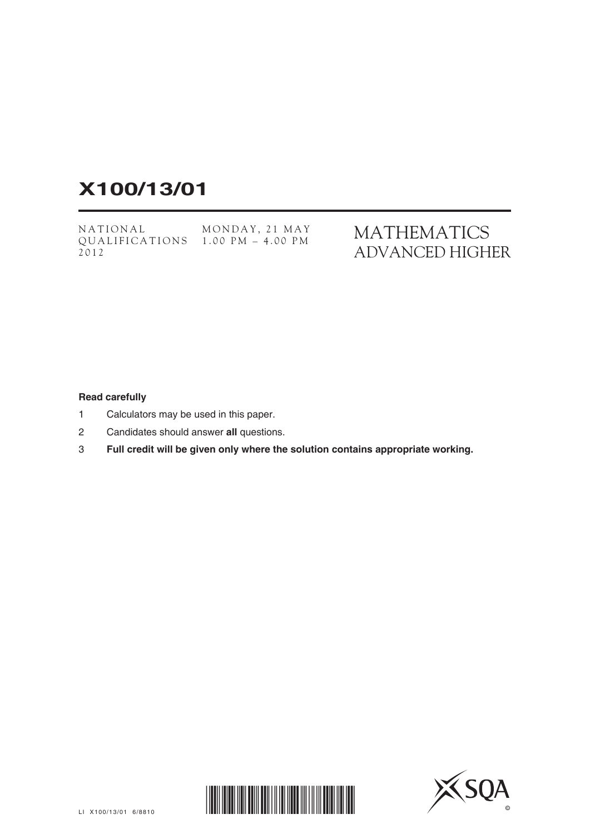## **X100/13/01**

NATIONAL QUALIFICATIONS 1.00 PM – 4.00 PM2012 MONDAY, 21 MAY MATHEMATICS ADVANCED HIGHER

## **Read carefully**

- 1 Calculators may be used in this paper.
- 2 Candidates should answer **all** questions.
- 3 **Full credit will be given only where the solution contains appropriate working.**



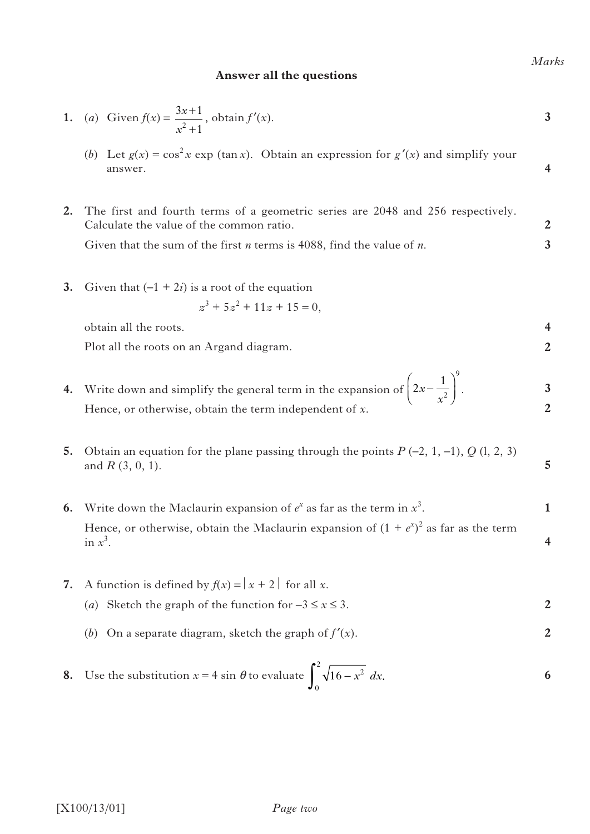## **Answer all the questions**

1. (a) Given 
$$
f(x) = \frac{3x+1}{x^2+1}
$$
, obtain  $f'(x)$ .

- (*b*) Let  $g(x) = \cos^2 x \exp(\tan x)$ . Obtain an expression for  $g'(x)$  and simplify your answer.
- **2.** The first and fourth terms of a geometric series are 2048 and 256 respectively. Calculate the value of the common ratio. **2 3**

Given that the sum of the first *n* terms is 4088, find the value of *n*.

**3.** Given that  $(-1 + 2i)$  is a root of the equation

$$
z^3 + 5z^2 + 11z + 15 = 0,
$$

obtain all the roots.

Plot all the roots on an Argand diagram.

- **4.** Write down and simplify the general term in the expansion of  $\left(2x \frac{1}{x^2}\right)^2$ . Hence, or otherwise, obtain the term independent of *x*. **3 2** *x x*  $\Big| 2x$ l ľ  $\overline{\phantom{0}}$
- **5.** Obtain an equation for the plane passing through the points  $P(-2, 1, -1)$ ,  $Q(1, 2, 3)$ and *R* (3, 0, 1).
- **6.** Write down the Maclaurin expansion of  $e^x$  as far as the term in  $x^3$ . Hence, or otherwise, obtain the Maclaurin expansion of  $(1 + e^{x})^2$  as far as the term in  $x^3$ . **1 4**
- **7.** A function is defined by  $f(x) = |x + 2|$  for all *x*. (*a*) Sketch the graph of the function for  $-3 \le x \le 3$ . **2**
	- (*b*) On a separate diagram, sketch the graph of *f*′(*x*). **2**

**8.** Use the substitution 
$$
x = 4 \sin \theta
$$
 to evaluate  $\int_0^2 \sqrt{16 - x^2} dx$ .

*Marks*

**4**

**4 2**

9

**5**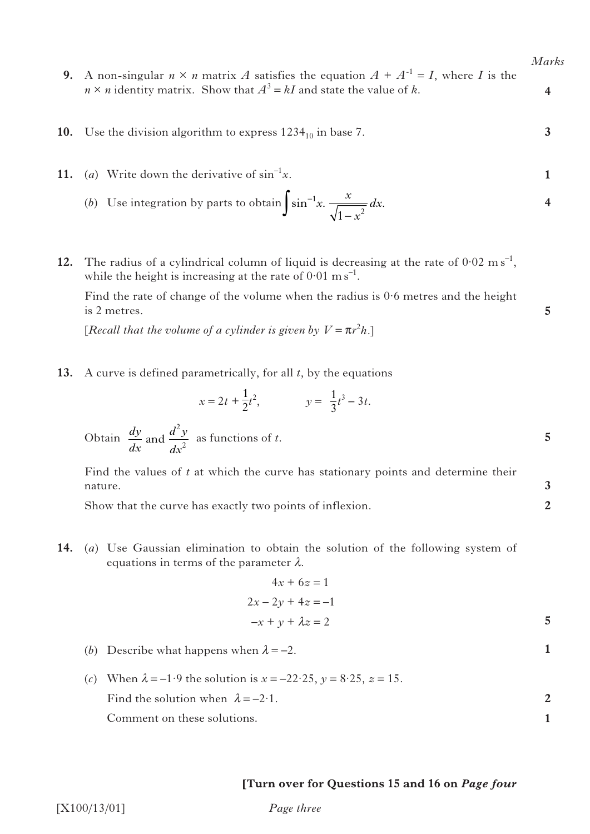**4**

**3**

**5**

**5**

**3 2**

**1**

- **9.** A non-singular  $n \times n$  matrix *A* satisfies the equation  $A + A^{-1} = I$ , where *I* is the  $n \times n$  identity matrix. Show that  $A^3 = kI$  and state the value of *k*.
- **10.** Use the division algorithm to express  $1234_{10}$  in base 7.
- **11.** (*a*) Write down the derivative of  $\sin^{-1}x$ . **1**
- (b) Use integration by parts to obtain  $\int \sin^{-1}x \cdot \frac{x}{\sqrt{1-x^2}} dx$ . **4**  $1 - x^2$ *x x x dx*
- **12.** The radius of a cylindrical column of liquid is decreasing at the rate of  $0.02 \text{ m s}^{-1}$ , while the height is increasing at the rate of  $0.01 \text{ m s}^{-1}$ .

Find the rate of change of the volume when the radius is  $0.6$  metres and the height is 2 metres.

[*Recall that the volume of a cylinder is given by*  $V = \pi r^2 h$ *.]* 

**13.** A curve is defined parametrically, for all *t*, by the equations

$$
x = 2t + \frac{1}{2}t^2, \qquad y = \frac{1}{3}t^3 - 3t.
$$

Obtain  $\frac{dy}{dx}$  and  $\frac{d^2y}{dx^2}$  as functions of *t*. *dx*  $d^2y$ *dx* and 2 2

> Find the values of *t* at which the curve has stationary points and determine their nature.

Show that the curve has exactly two points of inflexion.

**14.** (*a*) Use Gaussian elimination to obtain the solution of the following system of equations in terms of the parameter  $\lambda$ .

$$
4x + 6z = 1
$$
  

$$
2x - 2y + 4z = -1
$$
  

$$
-x + y + \lambda z = 2
$$

- (*b*) Describe what happens when  $\lambda = -2$ .
- (*c*) When  $\lambda = -1.9$  the solution is  $x = -22.25$ ,  $y = 8.25$ ,  $z = 15$ . Find the solution when  $\lambda = -2.1$ . Comment on these solutions. **2 1**

## **[Turn over for Questions 15 and 16 on** *Page four*